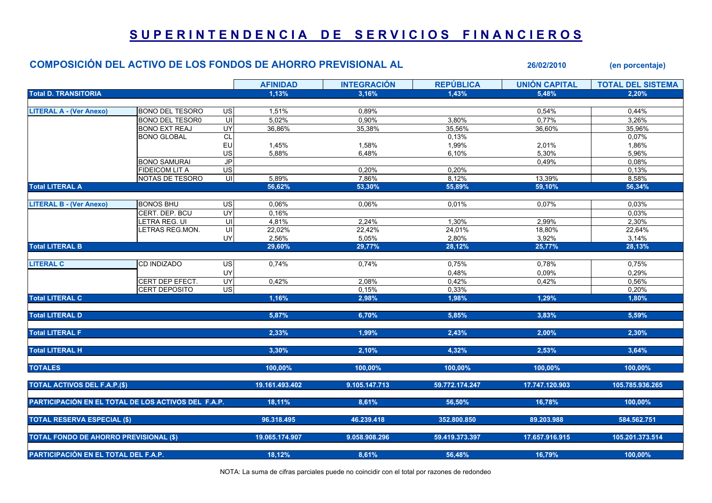## SUPERINTENDENCIA DE SERVICIOS FINANCIEROS

## COMPOSICIÓN DEL ACTIVO DE LOS FONDOS DE AHORRO PREVISIONAL AL 26/02/2010 (en porcentaje) AFINIDAD INTEGRACIÓN REPÚBLICA UNIÓN CAPITAL TOTAL DEL SISTEMA Total D. TRANSITORIA 1,13% 3,16% 1,43% 5,48% 2,20% LITERAL A - (Ver Anexo) BONO DEL TESORO US 1,51% 0,89% 0,54% 0,44% BONO DEL TESOR0 UI 5,02% 0,90% 3,80% 0,77% 3,26% BONO EXT REAJ UY| 36,86% 35,38% 35,56% 36,60% | 35,96% BONO GLOBAL CL 0,13% 0,07% EU 1,45% 1,58% 1,99% 2,01% 1,86% US| 5,88% 6,48% 6,10% 5,30% | 5,96% BONO SAMURAI JP 0,49% 0,08% FIDEICOM LIT A US 0,20% 0,20% 0,13% NOTAS DE TESORO UI 5,89% 7,86% 8,12% 13,39% 8,58% Total LITERAL A 56,62% 53,30% 55,89% 59,10% 56,34% LITERAL B - (Ver Anexo) BONOS BHU US 0,06% 0,06% 0,01% 0,07% 0,03% CERT. DEP. BCU UY 0,16% 0,03% LETRA REG. UI UI 4,81% 2,24% 1,30% 2,99% 2,30% LETRAS REG.MON. UI 22,02% 22,42% 24,01% 18,80% 22,64% UY| 2,56% 5,05% 2,80% 3,92% | 3,14% Total LITERAL B 29,60% 29,77% 28,12% 25,77% 28,13% LITERAL C |CD INDIZADO US| 0,74% 0,75% 0,78% | 0,75% UY 0,48% 0,09% 0,29% CERT DEP EFECT. UY 0,42% 2,08% 0,42% 0,42% 0,56% CERT DEPOSITO US| 0,15% 0,33% 0,20% Total LITERAL C 1,16% 2,98% 1,98% 1,29% 1,80% Total LITERAL D 5,87% 6,70% 5,85% 3,83% 5,59% Total LITERAL F 2,33% 1,99% 2,43% 2,00% 2,30% Total LITERAL H 3,64% 2,53% 3,64% 3,30% 2,10% 2,30% 3,64% 3,54% 3,64% 3,54% 3,64% 3,54% 3,64% 3,54% 3,64% 3,54% TOTALES 100,00% 100,00% 100,00% 100,00% 100,00% TOTAL ACTIVOS DEL F.A.P.(\$) 19.161.493.402 9.105.147.713 59.772.174.247 17.747.120.903 105.785.936.265 PARTICIPACIÓN EN EL TOTAL DE LOS ACTIVOS DEL F.A.P. 18,11% 18,11% 8,61% 16,50% 16,78% 16,78% 100,00% 100,00% 100,00% TOTAL RESERVA ESPECIAL (\$) 96.318.495 46.239.418 352.800.850 89.203.988 584.562.751 TOTAL FONDO DE AHORRO PREVISIONAL (\$) 19.065.174.907 9.058.908.296 59.419.373.397 17.657.916.915 105.201.373.514 PARTICIPACIÓN EN EL TOTAL DEL F.A.P. 18,12% 8,61% 56,48% 16,79% 100,00%

NOTA: La suma de cifras parciales puede no coincidir con el total por razones de redondeo